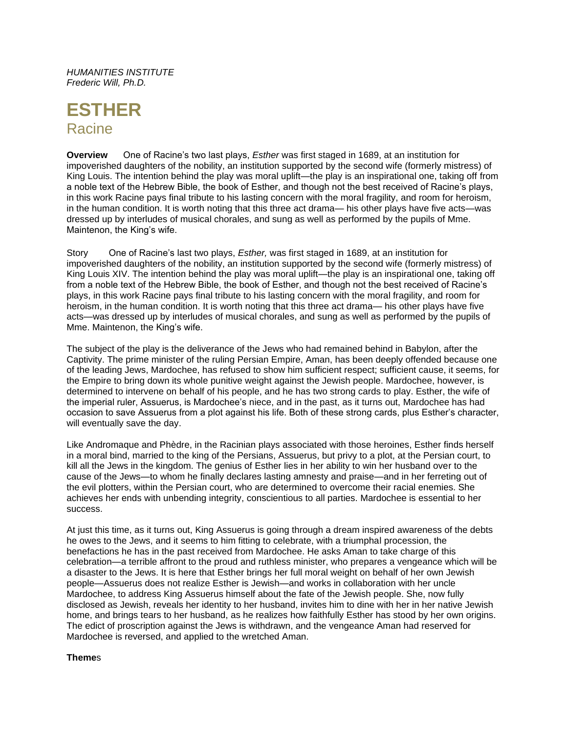*HUMANITIES INSTITUTE Frederic Will, Ph.D.*

# **ESTHER Racine**

**Overview** One of Racine's two last plays, *Esther* was first staged in 1689, at an institution for impoverished daughters of the nobility, an institution supported by the second wife (formerly mistress) of King Louis. The intention behind the play was moral uplift—the play is an inspirational one, taking off from a noble text of the Hebrew Bible, the book of Esther, and though not the best received of Racine's plays, in this work Racine pays final tribute to his lasting concern with the moral fragility, and room for heroism, in the human condition. It is worth noting that this three act drama— his other plays have five acts—was dressed up by interludes of musical chorales, and sung as well as performed by the pupils of Mme. Maintenon, the King's wife.

Story One of Racine's last two plays, *Esther,* was first staged in 1689, at an institution for impoverished daughters of the nobility, an institution supported by the second wife (formerly mistress) of King Louis XIV. The intention behind the play was moral uplift—the play is an inspirational one, taking off from a noble text of the Hebrew Bible, the book of Esther, and though not the best received of Racine's plays, in this work Racine pays final tribute to his lasting concern with the moral fragility, and room for heroism, in the human condition. It is worth noting that this three act drama— his other plays have five acts—was dressed up by interludes of musical chorales, and sung as well as performed by the pupils of Mme. Maintenon, the King's wife.

The subject of the play is the deliverance of the Jews who had remained behind in Babylon, after the Captivity. The prime minister of the ruling Persian Empire, Aman, has been deeply offended because one of the leading Jews, Mardochee, has refused to show him sufficient respect; sufficient cause, it seems, for the Empire to bring down its whole punitive weight against the Jewish people. Mardochee, however, is determined to intervene on behalf of his people, and he has two strong cards to play. Esther, the wife of the imperial ruler, Assuerus, is Mardochee's niece, and in the past, as it turns out, Mardochee has had occasion to save Assuerus from a plot against his life. Both of these strong cards, plus Esther's character, will eventually save the day.

Like Andromaque and Phèdre, in the Racinian plays associated with those heroines, Esther finds herself in a moral bind, married to the king of the Persians, Assuerus, but privy to a plot, at the Persian court, to kill all the Jews in the kingdom. The genius of Esther lies in her ability to win her husband over to the cause of the Jews—to whom he finally declares lasting amnesty and praise—and in her ferreting out of the evil plotters, within the Persian court, who are determined to overcome their racial enemies. She achieves her ends with unbending integrity, conscientious to all parties. Mardochee is essential to her success.

At just this time, as it turns out, King Assuerus is going through a dream inspired awareness of the debts he owes to the Jews, and it seems to him fitting to celebrate, with a triumphal procession, the benefactions he has in the past received from Mardochee. He asks Aman to take charge of this celebration—a terrible affront to the proud and ruthless minister, who prepares a vengeance which will be a disaster to the Jews. It is here that Esther brings her full moral weight on behalf of her own Jewish people—Assuerus does not realize Esther is Jewish—and works in collaboration with her uncle Mardochee, to address King Assuerus himself about the fate of the Jewish people. She, now fully disclosed as Jewish, reveals her identity to her husband, invites him to dine with her in her native Jewish home, and brings tears to her husband, as he realizes how faithfully Esther has stood by her own origins. The edict of proscription against the Jews is withdrawn, and the vengeance Aman had reserved for Mardochee is reversed, and applied to the wretched Aman.

# **Theme**s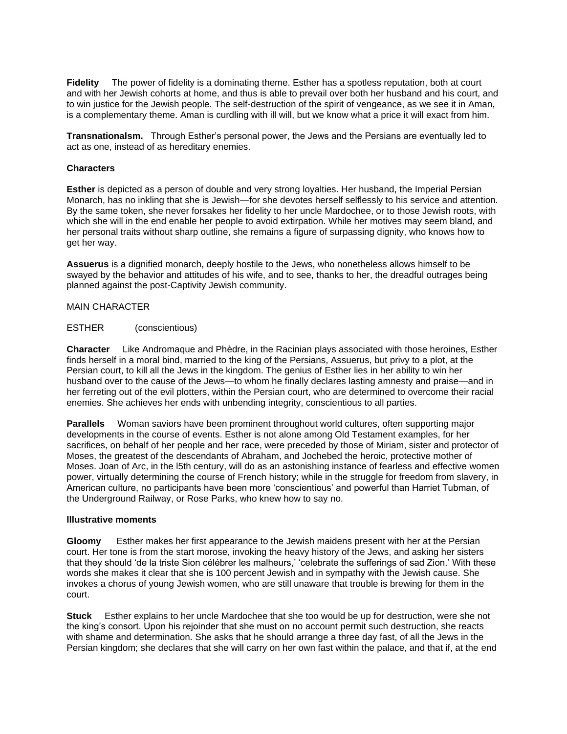**Fidelity** The power of fidelity is a dominating theme. Esther has a spotless reputation, both at court and with her Jewish cohorts at home, and thus is able to prevail over both her husband and his court, and to win justice for the Jewish people. The self-destruction of the spirit of vengeance, as we see it in Aman, is a complementary theme. Aman is curdling with ill will, but we know what a price it will exact from him.

**Transnationalsm.** Through Esther's personal power, the Jews and the Persians are eventually led to act as one, instead of as hereditary enemies.

## **Characters**

**Esther** is depicted as a person of double and very strong loyalties. Her husband, the Imperial Persian Monarch, has no inkling that she is Jewish—for she devotes herself selflessly to his service and attention. By the same token, she never forsakes her fidelity to her uncle Mardochee, or to those Jewish roots, with which she will in the end enable her people to avoid extirpation. While her motives may seem bland, and her personal traits without sharp outline, she remains a figure of surpassing dignity, who knows how to get her way.

**Assuerus** is a dignified monarch, deeply hostile to the Jews, who nonetheless allows himself to be swayed by the behavior and attitudes of his wife, and to see, thanks to her, the dreadful outrages being planned against the post-Captivity Jewish community.

### MAIN CHARACTER

### ESTHER (conscientious)

**Character** Like Andromaque and Phèdre, in the Racinian plays associated with those heroines, Esther finds herself in a moral bind, married to the king of the Persians, Assuerus, but privy to a plot, at the Persian court, to kill all the Jews in the kingdom. The genius of Esther lies in her ability to win her husband over to the cause of the Jews—to whom he finally declares lasting amnesty and praise—and in her ferreting out of the evil plotters, within the Persian court, who are determined to overcome their racial enemies. She achieves her ends with unbending integrity, conscientious to all parties.

**Parallels** Woman saviors have been prominent throughout world cultures, often supporting major developments in the course of events. Esther is not alone among Old Testament examples, for her sacrifices, on behalf of her people and her race, were preceded by those of Miriam, sister and protector of Moses, the greatest of the descendants of Abraham, and Jochebed the heroic, protective mother of Moses. Joan of Arc, in the l5th century, will do as an astonishing instance of fearless and effective women power, virtually determining the course of French history; while in the struggle for freedom from slavery, in American culture, no participants have been more 'conscientious' and powerful than Harriet Tubman, of the Underground Railway, or Rose Parks, who knew how to say no.

#### **Illustrative moments**

**Gloomy** Esther makes her first appearance to the Jewish maidens present with her at the Persian court. Her tone is from the start morose, invoking the heavy history of the Jews, and asking her sisters that they should 'de la triste Sion célébrer les malheurs,' 'celebrate the sufferings of sad Zion.' With these words she makes it clear that she is 100 percent Jewish and in sympathy with the Jewish cause. She invokes a chorus of young Jewish women, who are still unaware that trouble is brewing for them in the court.

**Stuck** Esther explains to her uncle Mardochee that she too would be up for destruction, were she not the king's consort. Upon his rejoinder that she must on no account permit such destruction, she reacts with shame and determination. She asks that he should arrange a three day fast, of all the Jews in the Persian kingdom; she declares that she will carry on her own fast within the palace, and that if, at the end